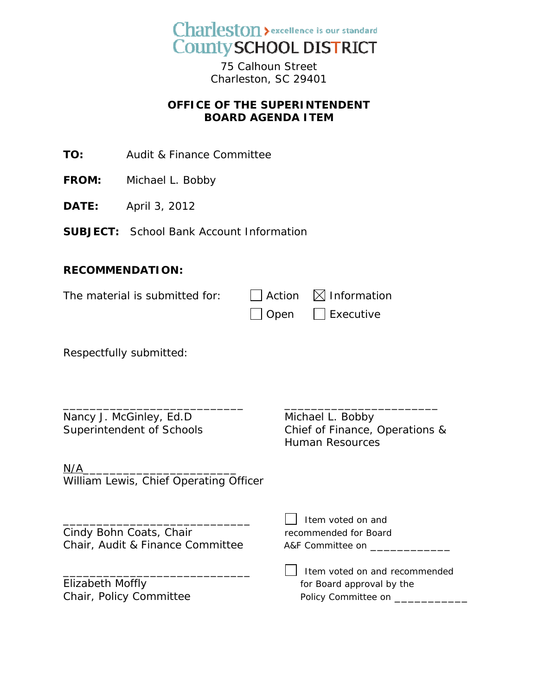

75 Calhoun Street Charleston, SC 29401

## **OFFICE OF THE SUPERINTENDENT BOARD AGENDA ITEM**

**TO:** Audit & Finance Committee

- **FROM:** Michael L. Bobby
- **DATE:** April 3, 2012

**SUBJECT:** School Bank Account Information

## **RECOMMENDATION:**

| The material is submitted for: | $\Box$ Action $\boxtimes$ Information |
|--------------------------------|---------------------------------------|
|                                | $\Box$ Open $\Box$ Executive          |

\_\_\_\_\_\_\_\_\_\_\_\_\_\_\_\_\_\_\_\_\_\_\_\_\_\_\_ \_\_\_\_\_\_\_\_\_\_\_\_\_\_\_\_\_\_\_\_\_\_\_

Respectfully submitted:

Nancy J. McGinley, Ed.D Michael L. Bobby

Superintendent of Schools Chief of Finance, Operations & Human Resources

 $\Box$  Item voted on and

 $N/A$ William Lewis, Chief Operating Officer

Cindy Bohn Coats, Chair The Commended for Board Chair, Audit & Finance Committee A&F Committee on \_\_\_\_\_\_\_\_\_\_\_\_

Elizabeth Moffly<br>
Chair, Policy Committee<br>
Folicy Committee<br>
Policy Committee on

\_\_\_\_\_\_\_\_\_\_\_\_\_\_\_\_\_\_\_\_\_\_\_\_\_\_\_\_ Item voted on and recommended Chair, Policy Committee Policy Committee on \_\_\_\_\_\_\_\_\_\_\_